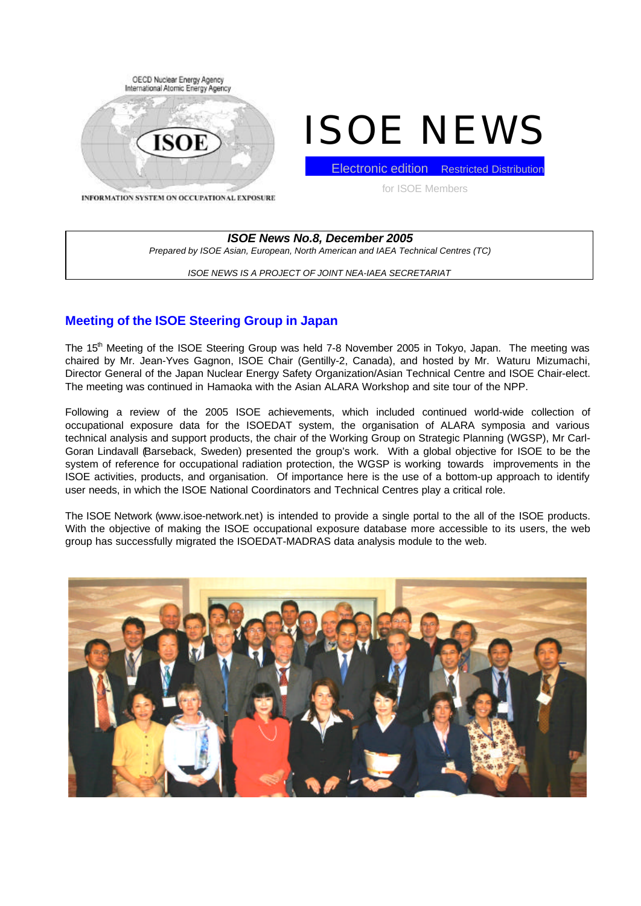

# ISOE NEWS

Electronic edition Restricted Distribution

for ISOE Members

INFORMATION SYSTEM ON OCCUPATIONAL EXPOSURE

*ISOE News No.8, December 2005 Prepared by ISOE Asian, European, North American and IAEA Technical Centres (TC)*

*ISOE NEWS IS A PROJECT OF JOINT NEA-IAEA SECRETARIAT*

# **Meeting of the ISOE Steering Group in Japan**

The 15<sup>th</sup> Meeting of the ISOE Steering Group was held 7-8 November 2005 in Tokyo, Japan. The meeting was chaired by Mr. Jean-Yves Gagnon, ISOE Chair (Gentilly-2, Canada), and hosted by Mr. Waturu Mizumachi, Director General of the Japan Nuclear Energy Safety Organization/Asian Technical Centre and ISOE Chair-elect. The meeting was continued in Hamaoka with the Asian ALARA Workshop and site tour of the NPP.

Following a review of the 2005 ISOE achievements, which included continued world-wide collection of occupational exposure data for the ISOEDAT system, the organisation of ALARA symposia and various technical analysis and support products, the chair of the Working Group on Strategic Planning (WGSP), Mr Carl-Goran Lindavall (Barseback, Sweden) presented the group's work. With a global objective for ISOE to be the system of reference for occupational radiation protection, the WGSP is working towards improvements in the ISOE activities, products, and organisation. Of importance here is the use of a bottom-up approach to identify user needs, in which the ISOE National Coordinators and Technical Centres play a critical role.

The ISOE Network (www.isoe-network.net) is intended to provide a single portal to the all of the ISOE products. With the objective of making the ISOE occupational exposure database more accessible to its users, the web group has successfully migrated the ISOEDAT-MADRAS data analysis module to the web.

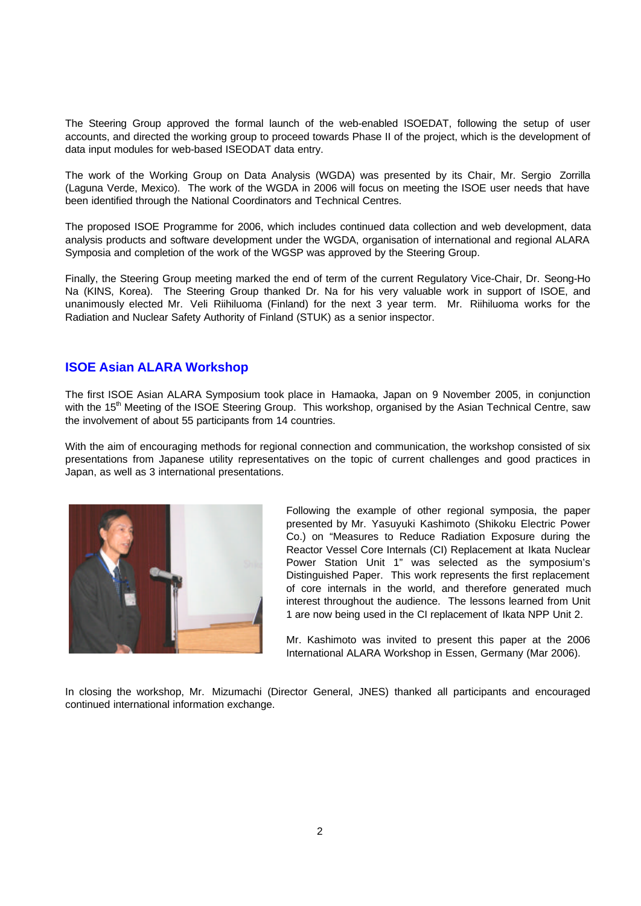The Steering Group approved the formal launch of the web-enabled ISOEDAT, following the setup of user accounts, and directed the working group to proceed towards Phase II of the project, which is the development of data input modules for web-based ISEODAT data entry.

The work of the Working Group on Data Analysis (WGDA) was presented by its Chair, Mr. Sergio Zorrilla (Laguna Verde, Mexico). The work of the WGDA in 2006 will focus on meeting the ISOE user needs that have been identified through the National Coordinators and Technical Centres.

The proposed ISOE Programme for 2006, which includes continued data collection and web development, data analysis products and software development under the WGDA, organisation of international and regional ALARA Symposia and completion of the work of the WGSP was approved by the Steering Group.

Finally, the Steering Group meeting marked the end of term of the current Regulatory Vice-Chair, Dr. Seong-Ho Na (KINS, Korea). The Steering Group thanked Dr. Na for his very valuable work in support of ISOE, and unanimously elected Mr. Veli Riihiluoma (Finland) for the next 3 year term. Mr. Riihiluoma works for the Radiation and Nuclear Safety Authority of Finland (STUK) as a senior inspector.

## **ISOE Asian ALARA Workshop**

The first ISOE Asian ALARA Symposium took place in Hamaoka, Japan on 9 November 2005, in conjunction with the 15<sup>th</sup> Meeting of the ISOE Steering Group. This workshop, organised by the Asian Technical Centre, saw the involvement of about 55 participants from 14 countries.

With the aim of encouraging methods for regional connection and communication, the workshop consisted of six presentations from Japanese utility representatives on the topic of current challenges and good practices in Japan, as well as 3 international presentations.



Following the example of other regional symposia, the paper presented by Mr. Yasuyuki Kashimoto (Shikoku Electric Power Co.) on "Measures to Reduce Radiation Exposure during the Reactor Vessel Core Internals (CI) Replacement at Ikata Nuclear Power Station Unit 1" was selected as the symposium's Distinguished Paper. This work represents the first replacement of core internals in the world, and therefore generated much interest throughout the audience. The lessons learned from Unit 1 are now being used in the CI replacement of Ikata NPP Unit 2.

Mr. Kashimoto was invited to present this paper at the 2006 International ALARA Workshop in Essen, Germany (Mar 2006).

In closing the workshop, Mr. Mizumachi (Director General, JNES) thanked all participants and encouraged continued international information exchange.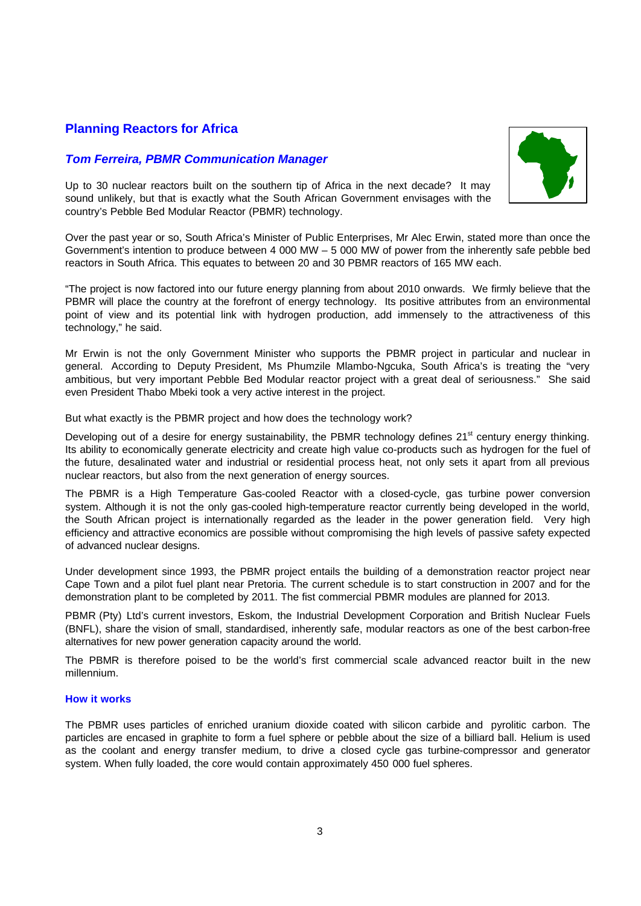# **Planning Reactors for Africa**

## *Tom Ferreira, PBMR Communication Manager*



Up to 30 nuclear reactors built on the southern tip of Africa in the next decade? It may sound unlikely, but that is exactly what the South African Government envisages with the country's Pebble Bed Modular Reactor (PBMR) technology.

Over the past year or so, South Africa's Minister of Public Enterprises, Mr Alec Erwin, stated more than once the Government's intention to produce between 4 000 MW – 5 000 MW of power from the inherently safe pebble bed reactors in South Africa. This equates to between 20 and 30 PBMR reactors of 165 MW each.

"The project is now factored into our future energy planning from about 2010 onwards. We firmly believe that the PBMR will place the country at the forefront of energy technology. Its positive attributes from an environmental point of view and its potential link with hydrogen production, add immensely to the attractiveness of this technology," he said.

Mr Erwin is not the only Government Minister who supports the PBMR project in particular and nuclear in general. According to Deputy President, Ms Phumzile Mlambo-Ngcuka, South Africa's is treating the "very ambitious, but very important Pebble Bed Modular reactor project with a great deal of seriousness." She said even President Thabo Mbeki took a very active interest in the project.

But what exactly is the PBMR project and how does the technology work?

Developing out of a desire for energy sustainability, the PBMR technology defines 21<sup>st</sup> century energy thinking. Its ability to economically generate electricity and create high value co-products such as hydrogen for the fuel of the future, desalinated water and industrial or residential process heat, not only sets it apart from all previous nuclear reactors, but also from the next generation of energy sources.

The PBMR is a High Temperature Gas-cooled Reactor with a closed-cycle, gas turbine power conversion system. Although it is not the only gas-cooled high-temperature reactor currently being developed in the world, the South African project is internationally regarded as the leader in the power generation field. Very high efficiency and attractive economics are possible without compromising the high levels of passive safety expected of advanced nuclear designs.

Under development since 1993, the PBMR project entails the building of a demonstration reactor project near Cape Town and a pilot fuel plant near Pretoria. The current schedule is to start construction in 2007 and for the demonstration plant to be completed by 2011. The fist commercial PBMR modules are planned for 2013.

PBMR (Pty) Ltd's current investors, Eskom, the Industrial Development Corporation and British Nuclear Fuels (BNFL), share the vision of small, standardised, inherently safe, modular reactors as one of the best carbon-free alternatives for new power generation capacity around the world.

The PBMR is therefore poised to be the world's first commercial scale advanced reactor built in the new millennium.

#### **How it works**

The PBMR uses particles of enriched uranium dioxide coated with silicon carbide and pyrolitic carbon. The particles are encased in graphite to form a fuel sphere or pebble about the size of a billiard ball. Helium is used as the coolant and energy transfer medium, to drive a closed cycle gas turbine-compressor and generator system. When fully loaded, the core would contain approximately 450 000 fuel spheres.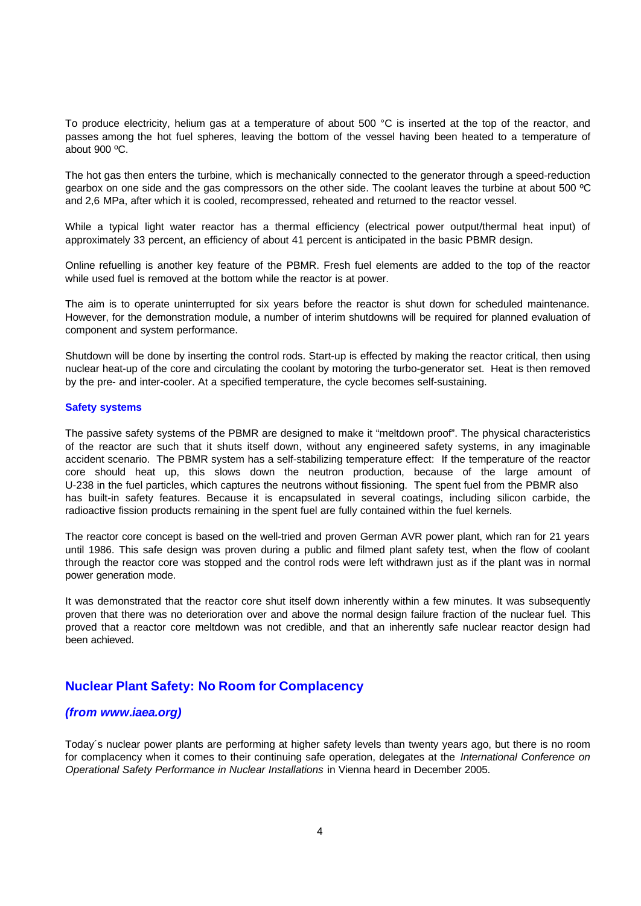To produce electricity, helium gas at a temperature of about 500 °C is inserted at the top of the reactor, and passes among the hot fuel spheres, leaving the bottom of the vessel having been heated to a temperature of about 900 ºC.

The hot gas then enters the turbine, which is mechanically connected to the generator through a speed-reduction gearbox on one side and the gas compressors on the other side. The coolant leaves the turbine at about 500 ºC and 2,6 MPa, after which it is cooled, recompressed, reheated and returned to the reactor vessel.

While a typical light water reactor has a thermal efficiency (electrical power output/thermal heat input) of approximately 33 percent, an efficiency of about 41 percent is anticipated in the basic PBMR design.

Online refuelling is another key feature of the PBMR. Fresh fuel elements are added to the top of the reactor while used fuel is removed at the bottom while the reactor is at power.

The aim is to operate uninterrupted for six years before the reactor is shut down for scheduled maintenance. However, for the demonstration module, a number of interim shutdowns will be required for planned evaluation of component and system performance.

Shutdown will be done by inserting the control rods. Start-up is effected by making the reactor critical, then using nuclear heat-up of the core and circulating the coolant by motoring the turbo-generator set. Heat is then removed by the pre- and inter-cooler. At a specified temperature, the cycle becomes self-sustaining.

#### **Safety systems**

The passive safety systems of the PBMR are designed to make it "meltdown proof". The physical characteristics of the reactor are such that it shuts itself down, without any engineered safety systems, in any imaginable accident scenario. The PBMR system has a self-stabilizing temperature effect: If the temperature of the reactor core should heat up, this slows down the neutron production, because of the large amount of U-238 in the fuel particles, which captures the neutrons without fissioning. The spent fuel from the PBMR also has built-in safety features. Because it is encapsulated in several coatings, including silicon carbide, the radioactive fission products remaining in the spent fuel are fully contained within the fuel kernels.

The reactor core concept is based on the well-tried and proven German AVR power plant, which ran for 21 years until 1986. This safe design was proven during a public and filmed plant safety test, when the flow of coolant through the reactor core was stopped and the control rods were left withdrawn just as if the plant was in normal power generation mode.

It was demonstrated that the reactor core shut itself down inherently within a few minutes. It was subsequently proven that there was no deterioration over and above the normal design failure fraction of the nuclear fuel. This proved that a reactor core meltdown was not credible, and that an inherently safe nuclear reactor design had been achieved.

#### **Nuclear Plant Safety: No Room for Complacency**

#### *(from www.iaea.org)*

Today´s nuclear power plants are performing at higher safety levels than twenty years ago, but there is no room for complacency when it comes to their continuing safe operation, delegates at the *International Conference on Operational Safety Performance in Nuclear Installations* in Vienna heard in December 2005.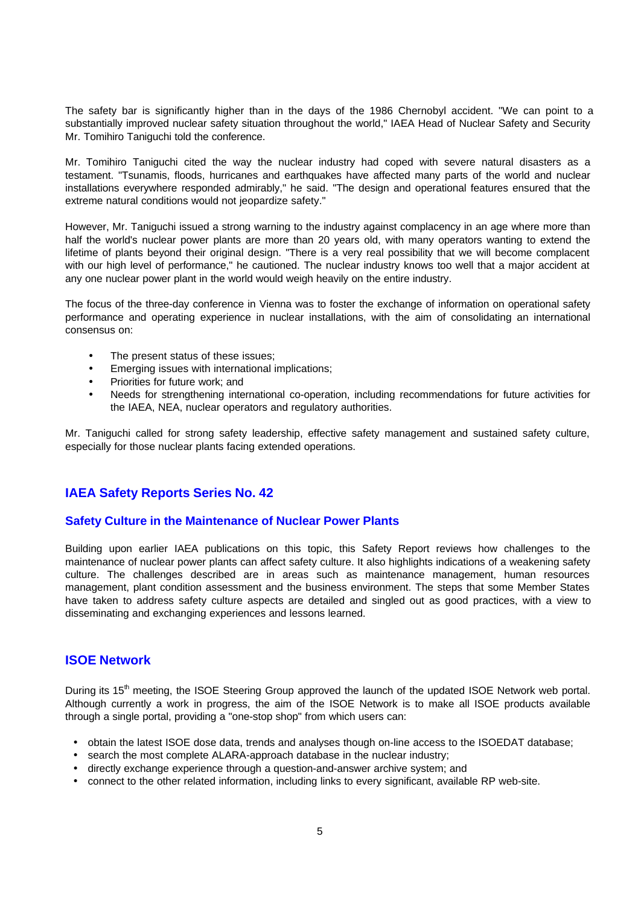The safety bar is significantly higher than in the days of the 1986 Chernobyl accident. "We can point to a substantially improved nuclear safety situation throughout the world," IAEA Head of Nuclear Safety and Security Mr. Tomihiro Taniguchi told the conference.

Mr. Tomihiro Taniguchi cited the way the nuclear industry had coped with severe natural disasters as a testament. "Tsunamis, floods, hurricanes and earthquakes have affected many parts of the world and nuclear installations everywhere responded admirably," he said. "The design and operational features ensured that the extreme natural conditions would not jeopardize safety."

However, Mr. Taniguchi issued a strong warning to the industry against complacency in an age where more than half the world's nuclear power plants are more than 20 years old, with many operators wanting to extend the lifetime of plants beyond their original design. "There is a very real possibility that we will become complacent with our high level of performance," he cautioned. The nuclear industry knows too well that a major accident at any one nuclear power plant in the world would weigh heavily on the entire industry.

The focus of the three-day conference in Vienna was to foster the exchange of information on operational safety performance and operating experience in nuclear installations, with the aim of consolidating an international consensus on:

- The present status of these issues;
- Emerging issues with international implications;
- Priorities for future work; and
- Needs for strengthening international co-operation, including recommendations for future activities for the IAEA, NEA, nuclear operators and regulatory authorities.

Mr. Taniguchi called for strong safety leadership, effective safety management and sustained safety culture, especially for those nuclear plants facing extended operations.

## **IAEA Safety Reports Series No. 42**

#### **Safety Culture in the Maintenance of Nuclear Power Plants**

Building upon earlier IAEA publications on this topic, this Safety Report reviews how challenges to the maintenance of nuclear power plants can affect safety culture. It also highlights indications of a weakening safety culture. The challenges described are in areas such as maintenance management, human resources management, plant condition assessment and the business environment. The steps that some Member States have taken to address safety culture aspects are detailed and singled out as good practices, with a view to disseminating and exchanging experiences and lessons learned.

## **ISOE Network**

During its 15<sup>th</sup> meeting, the ISOE Steering Group approved the launch of the updated ISOE Network web portal. Although currently a work in progress, the aim of the ISOE Network is to make all ISOE products available through a single portal, providing a "one-stop shop" from which users can:

- obtain the latest ISOE dose data, trends and analyses though on-line access to the ISOEDAT database;
- search the most complete ALARA-approach database in the nuclear industry;
- directly exchange experience through a question-and-answer archive system; and
- connect to the other related information, including links to every significant, available RP web-site.